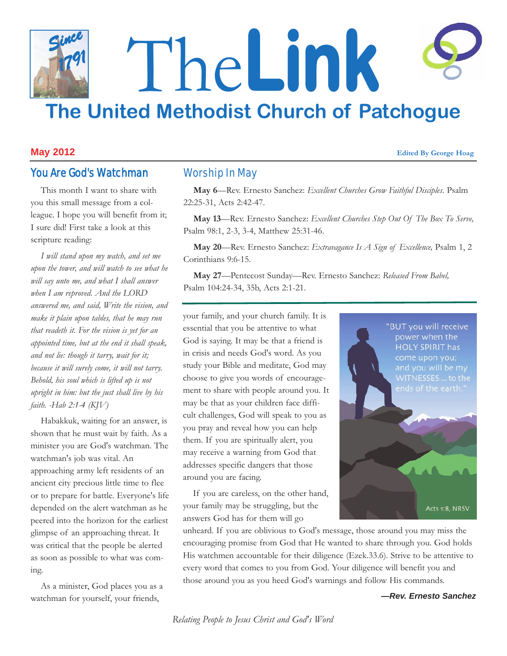# The**Link The United Methodist Church of Patchogue** *Since 1791*

#### **May 2012 Edited By George Hoag**

# You Are God's Watchman

This month I want to share with you this small message from a colleague. I hope you will benefit from it; I sure did! First take a look at this scripture reading:

*I will stand upon my watch, and set me upon the tower, and will watch to see what he will say unto me, and what I shall answer when I am reproved. And the LORD answered me, and said, Write the vision, and make it plain upon tables, that he may run that readeth it. For the vision is yet for an appointed time, but at the end it shall speak, and not lie: though it tarry, wait for it; because it will surely come, it will not tarry. Behold, his soul which is lifted up is not upright in him: but the just shall live by his faith. -Hab 2:1-4 (KJV)*

Habakkuk, waiting for an answer, is shown that he must wait by faith. As a minister you are God's watchman. The watchman's job was vital. An approaching army left residents of an ancient city precious little time to flee or to prepare for battle. Everyone's life depended on the alert watchman as he peered into the horizon for the earliest glimpse of an approaching threat. It was critical that the people be alerted as soon as possible to what was coming.

As a minister, God places you as a watchman for yourself, your friends,

# Worship In May

**May 6**—Rev. Ernesto Sanchez: *Excellent Churches Grow Faithful Disciples*. Psalm 22:25-31, Acts 2:42-47.

**May 13**—Rev. Ernesto Sanchez: *Excellent Churches Step Out Of The Box To Serve,* Psalm 98:1, 2-3, 3-4, Matthew 25:31-46.

**May 20**—Rev. Ernesto Sanchez: *Extravagance Is A Sign of Excellence,* Psalm 1, 2 Corinthians 9:6-15.

**May 27**—Pentecost Sunday—Rev. Ernesto Sanchez: *Released From Babel,*  Psalm 104:24-34, 35b, Acts 2:1-21.

your family, and your church family. It is essential that you be attentive to what God is saying. It may be that a friend is in crisis and needs God's word. As you study your Bible and meditate, God may choose to give you words of encouragement to share with people around you. It may be that as your children face difficult challenges, God will speak to you as you pray and reveal how you can help them. If you are spiritually alert, you may receive a warning from God that addresses specific dangers that those around you are facing.

If you are careless, on the other hand, your family may be struggling, but the answers God has for them will go



unheard. If you are oblivious to God's message, those around you may miss the encouraging promise from God that He wanted to share through you. God holds His watchmen accountable for their diligence (Ezek.33.6). Strive to be attentive to every word that comes to you from God. Your diligence will benefit you and those around you as you heed God's warnings and follow His commands.

*—Rev. Ernesto Sanchez*

*Relating People to Jesus Christ and God's Word*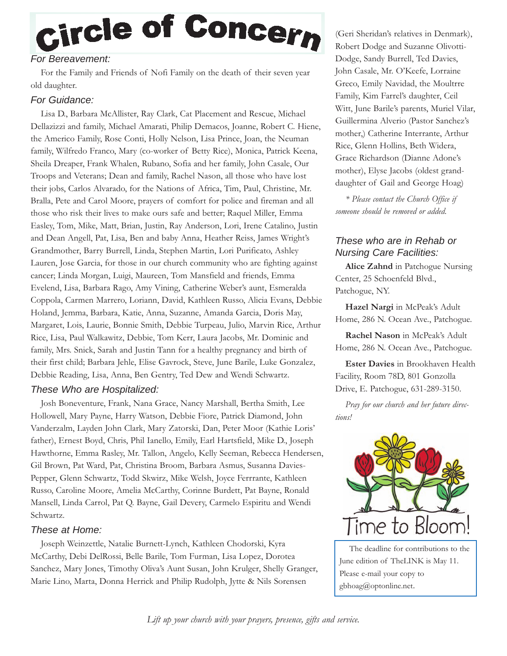# Circle of Concern

# *For Bereavement:*

For the Family and Friends of Nofi Family on the death of their seven year old daughter.

## *For Guidance:*

Lisa D., Barbara McAllister, Ray Clark, Cat Placement and Rescue, Michael Dellazizzi and family, Michael Amarati, Philip Demacos, Joanne, Robert C. Hiene, the Americo Family, Rose Conti, Holly Nelson, Lisa Prince, Joan, the Neuman family, Wilfredo Franco, Mary (co-worker of Betty Rice), Monica, Patrick Keena, Sheila Dreaper, Frank Whalen, Rubano, Sofia and her family, John Casale, Our Troops and Veterans; Dean and family, Rachel Nason, all those who have lost their jobs, Carlos Alvarado, for the Nations of Africa, Tim, Paul, Christine, Mr. Bralla, Pete and Carol Moore, prayers of comfort for police and fireman and all those who risk their lives to make ours safe and better; Raquel Miller, Emma Easley, Tom, Mike, Matt, Brian, Justin, Ray Anderson, Lori, Irene Catalino, Justin and Dean Angell, Pat, Lisa, Ben and baby Anna, Heather Reiss, James Wright's Grandmother, Barry Burrell, Linda, Stephen Martin, Lori Purificato, Ashley Lauren, Jose Garcia, for those in our church community who are fighting against cancer; Linda Morgan, Luigi, Maureen, Tom Mansfield and friends, Emma Evelend, Lisa, Barbara Rago, Amy Vining, Catherine Weber's aunt, Esmeralda Coppola, Carmen Marrero, Loriann, David, Kathleen Russo, Alicia Evans, Debbie Holand, Jemma, Barbara, Katie, Anna, Suzanne, Amanda Garcia, Doris May, Margaret, Lois, Laurie, Bonnie Smith, Debbie Turpeau, Julio, Marvin Rice, Arthur Rice, Lisa, Paul Walkawitz, Debbie, Tom Kerr, Laura Jacobs, Mr. Dominic and family, Mrs. Snick, Sarah and Justin Tann for a healthy pregnancy and birth of their first child; Barbara Jehle, Elise Gavrock, Steve, June Barile, Luke Gonzalez, Debbie Reading, Lisa, Anna, Ben Gentry, Ted Dew and Wendi Schwartz.

# *These Who are Hospitalized:*

Josh Boneventure, Frank, Nana Grace, Nancy Marshall, Bertha Smith, Lee Hollowell, Mary Payne, Harry Watson, Debbie Fiore, Patrick Diamond, John Vanderzalm, Layden John Clark, Mary Zatorski, Dan, Peter Moor (Kathie Loris' father), Ernest Boyd, Chris, Phil Ianello, Emily, Earl Hartsfield, Mike D., Joseph Hawthorne, Emma Rasley, Mr. Tallon, Angelo, Kelly Seeman, Rebecca Hendersen, Gil Brown, Pat Ward, Pat, Christina Broom, Barbara Asmus, Susanna Davies-Pepper, Glenn Schwartz, Todd Skwirz, Mike Welsh, Joyce Ferrrante, Kathleen Russo, Caroline Moore, Amelia McCarthy, Corinne Burdett, Pat Bayne, Ronald Mansell, Linda Carrol, Pat Q. Bayne, Gail Devery, Carmelo Espiritu and Wendi Schwartz.

## *These at Home:*

Joseph Weinzettle, Natalie Burnett-Lynch, Kathleen Chodorski, Kyra McCarthy, Debi DelRossi, Belle Barile, Tom Furman, Lisa Lopez, Dorotea Sanchez, Mary Jones, Timothy Oliva's Aunt Susan, John Krulger, Shelly Granger, Marie Lino, Marta, Donna Herrick and Philip Rudolph, Jytte & Nils Sorensen

(Geri Sheridan's relatives in Denmark), Robert Dodge and Suzanne Olivotti-Dodge, Sandy Burrell, Ted Davies, John Casale, Mr. O'Keefe, Lorraine Greco, Emily Navidad, the Moultrre Family, Kim Farrel's daughter, Ceil Witt, June Barile's parents, Muriel Vilar, Guillermina Alverio (Pastor Sanchez's mother,) Catherine Interrante, Arthur Rice, Glenn Hollins, Beth Widera, Grace Richardson (Dianne Adone's mother), Elyse Jacobs (oldest granddaughter of Gail and George Hoag)

*\* Please contact the Church Office if someone should be removed or added.*

# *These who are in Rehab or Nursing Care Facilities:*

**Alice Zahnd** in Patchogue Nursing Center, 25 Schoenfeld Blvd., Patchogue, NY.

**Hazel Nargi** in McPeak's Adult Home, 286 N. Ocean Ave., Patchogue.

**Rachel Nason** in McPeak's Adult Home, 286 N. Ocean Ave., Patchogue.

**Ester Davies** in Brookhaven Health Facility, Room 78D, 801 Gonzolla Drive, E. Patchogue, 631-289-3150.

*Pray for our church and her future directions!*



The deadline for contributions to the June edition of TheLINK is May 11. Please e-mail your copy to gbhoag@optonline.net.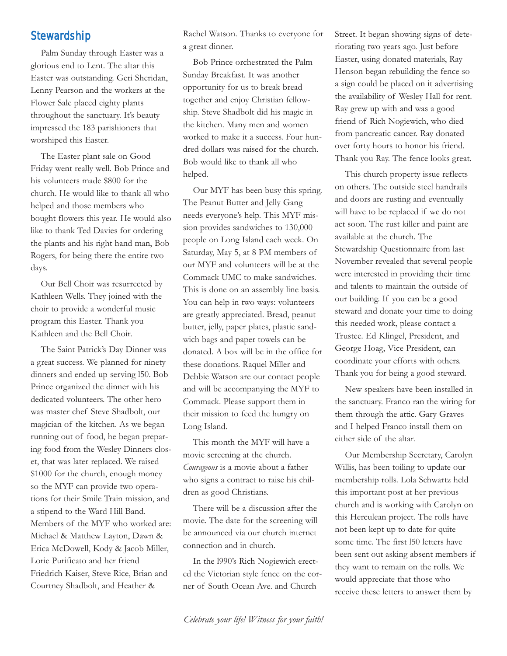# **Stewardship**

Palm Sunday through Easter was a glorious end to Lent. The altar this Easter was outstanding. Geri Sheridan, Lenny Pearson and the workers at the Flower Sale placed eighty plants throughout the sanctuary. It's beauty impressed the 183 parishioners that worshiped this Easter.

The Easter plant sale on Good Friday went really well. Bob Prince and his volunteers made \$800 for the church. He would like to thank all who helped and those members who bought flowers this year. He would also like to thank Ted Davies for ordering the plants and his right hand man, Bob Rogers, for being there the entire two days.

Our Bell Choir was resurrected by Kathleen Wells. They joined with the choir to provide a wonderful music program this Easter. Thank you Kathleen and the Bell Choir.

The Saint Patrick's Day Dinner was a great success. We planned for ninety dinners and ended up serving l50. Bob Prince organized the dinner with his dedicated volunteers. The other hero was master chef Steve Shadbolt, our magician of the kitchen. As we began running out of food, he began preparing food from the Wesley Dinners closet, that was later replaced. We raised \$1000 for the church, enough money so the MYF can provide two operations for their Smile Train mission, and a stipend to the Ward Hill Band. Members of the MYF who worked are: Michael & Matthew Layton, Dawn & Erica McDowell, Kody & Jacob Miller, Lorie Purificato and her friend Friedrich Kaiser, Steve Rice, Brian and Courtney Shadbolt, and Heather &

Rachel Watson. Thanks to everyone for a great dinner.

Bob Prince orchestrated the Palm Sunday Breakfast. It was another opportunity for us to break bread together and enjoy Christian fellowship. Steve Shadbolt did his magic in the kitchen. Many men and women worked to make it a success. Four hundred dollars was raised for the church. Bob would like to thank all who helped.

Our MYF has been busy this spring. The Peanut Butter and Jelly Gang needs everyone's help. This MYF mission provides sandwiches to 130,000 people on Long Island each week. On Saturday, May 5, at 8 PM members of our MYF and volunteers will be at the Commack UMC to make sandwiches. This is done on an assembly line basis. You can help in two ways: volunteers are greatly appreciated. Bread, peanut butter, jelly, paper plates, plastic sandwich bags and paper towels can be donated. A box will be in the office for these donations. Raquel Miller and Debbie Watson are our contact people and will be accompanying the MYF to Commack. Please support them in their mission to feed the hungry on Long Island.

This month the MYF will have a movie screening at the church. *Courageous* is a movie about a father who signs a contract to raise his children as good Christians.

There will be a discussion after the movie. The date for the screening will be announced via our church internet connection and in church.

In the l990's Rich Nogiewich erected the Victorian style fence on the corner of South Ocean Ave. and Church

Street. It began showing signs of deteriorating two years ago. Just before Easter, using donated materials, Ray Henson began rebuilding the fence so a sign could be placed on it advertising the availability of Wesley Hall for rent. Ray grew up with and was a good friend of Rich Nogiewich, who died from pancreatic cancer. Ray donated over forty hours to honor his friend. Thank you Ray. The fence looks great.

This church property issue reflects on others. The outside steel handrails and doors are rusting and eventually will have to be replaced if we do not act soon. The rust killer and paint are available at the church. The Stewardship Questionnaire from last November revealed that several people were interested in providing their time and talents to maintain the outside of our building. If you can be a good steward and donate your time to doing this needed work, please contact a Trustee. Ed Klingel, President, and George Hoag, Vice President, can coordinate your efforts with others. Thank you for being a good steward.

New speakers have been installed in the sanctuary. Franco ran the wiring for them through the attic. Gary Graves and I helped Franco install them on either side of the altar.

Our Membership Secretary, Carolyn Willis, has been toiling to update our membership rolls. Lola Schwartz held this important post at her previous church and is working with Carolyn on this Herculean project. The rolls have not been kept up to date for quite some time. The first l50 letters have been sent out asking absent members if they want to remain on the rolls. We would appreciate that those who receive these letters to answer them by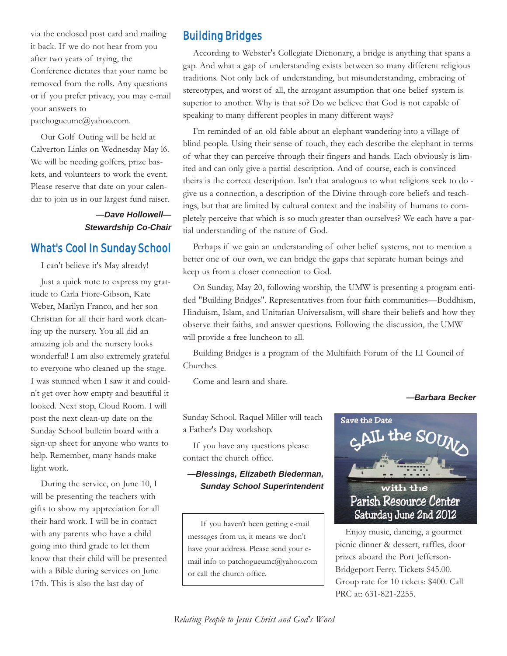via the enclosed post card and mailing it back. If we do not hear from you after two years of trying, the Conference dictates that your name be removed from the rolls. Any questions or if you prefer privacy, you may e-mail your answers to

patchogueumc@yahoo.com.

Our Golf Outing will be held at Calverton Links on Wednesday May l6. We will be needing golfers, prize baskets, and volunteers to work the event. Please reserve that date on your calendar to join us in our largest fund raiser.

## *—Dave Hollowell— Stewardship Co-Chair*

# What's Cool In Sunday School

I can't believe it's May already!

Just a quick note to express my gratitude to Carla Fiore-Gibson, Kate Weber, Marilyn Franco, and her son Christian for all their hard work cleaning up the nursery. You all did an amazing job and the nursery looks wonderful! I am also extremely grateful to everyone who cleaned up the stage. I was stunned when I saw it and couldn't get over how empty and beautiful it looked. Next stop, Cloud Room. I will post the next clean-up date on the Sunday School bulletin board with a sign-up sheet for anyone who wants to help. Remember, many hands make light work.

During the service, on June 10, I will be presenting the teachers with gifts to show my appreciation for all their hard work. I will be in contact with any parents who have a child going into third grade to let them know that their child will be presented with a Bible during services on June 17th. This is also the last day of

# Building Bridges

According to Webster's Collegiate Dictionary, a bridge is anything that spans a gap. And what a gap of understanding exists between so many different religious traditions. Not only lack of understanding, but misunderstanding, embracing of stereotypes, and worst of all, the arrogant assumption that one belief system is superior to another. Why is that so? Do we believe that God is not capable of speaking to many different peoples in many different ways?

I'm reminded of an old fable about an elephant wandering into a village of blind people. Using their sense of touch, they each describe the elephant in terms of what they can perceive through their fingers and hands. Each obviously is limited and can only give a partial description. And of course, each is convinced theirs is the correct description. Isn't that analogous to what religions seek to do give us a connection, a description of the Divine through core beliefs and teachings, but that are limited by cultural context and the inability of humans to completely perceive that which is so much greater than ourselves? We each have a partial understanding of the nature of God.

Perhaps if we gain an understanding of other belief systems, not to mention a better one of our own, we can bridge the gaps that separate human beings and keep us from a closer connection to God.

On Sunday, May 20, following worship, the UMW is presenting a program entitled "Building Bridges". Representatives from four faith communities—Buddhism, Hinduism, Islam, and Unitarian Universalism, will share their beliefs and how they observe their faiths, and answer questions. Following the discussion, the UMW will provide a free luncheon to all.

Building Bridges is a program of the Multifaith Forum of the LI Council of Churches.

Come and learn and share.

#### *—Barbara Becker*

Sunday School. Raquel Miller will teach a Father's Day workshop.

If you have any questions please contact the church office.

#### *—Blessings, Elizabeth Biederman, Sunday School Superintendent*

If you haven't been getting e-mail messages from us, it means we don't have your address. Please send your email info to patchogueumc@yahoo.com or call the church office.



Enjoy music, dancing, a gourmet picnic dinner & dessert, raffles, door prizes aboard the Port Jefferson-Bridgeport Ferry. Tickets \$45.00. Group rate for 10 tickets: \$400. Call PRC at: 631-821-2255.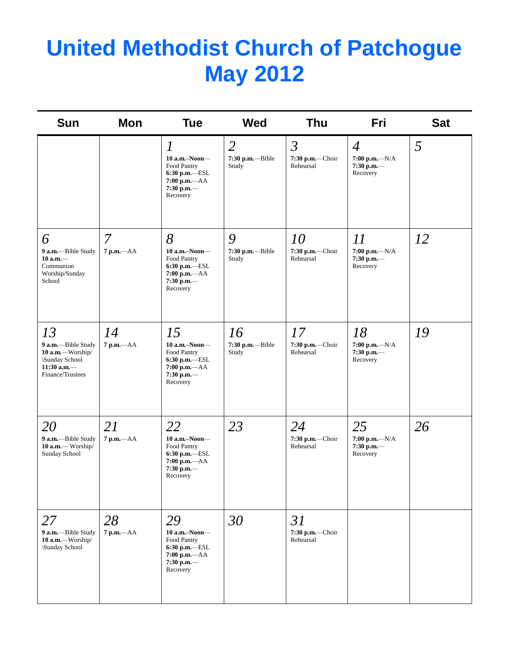# **United Methodist Church of Patchogue May 2012**

| <b>Sun</b>                                                                                          | Mon                | <b>Tue</b>                                                                                                           | <b>Wed</b>                                  | <b>Thu</b>                                     | Fri                                                            | <b>Sat</b> |
|-----------------------------------------------------------------------------------------------------|--------------------|----------------------------------------------------------------------------------------------------------------------|---------------------------------------------|------------------------------------------------|----------------------------------------------------------------|------------|
|                                                                                                     |                    | $\boldsymbol{l}$<br>$10$ a.m.-Noon-<br>Food Pantry<br>6:30 p.m.-ESL<br>$7:00$ p.m.- $AA$<br>$7:30$ p.m.-<br>Recovery | $\overline{2}$<br>7:30 p.m.--Bible<br>Study | $\mathfrak{Z}$<br>7:30 p.m.-Choir<br>Rehearsal | $\overline{4}$<br>$7:00 p.m. -N/A$<br>$7:30$ p.m.-<br>Recovery | 5          |
| 6<br>9 a.m.-Bible Study<br>$10 a.m.$ —<br>Communion<br>Worship/Sunday<br>School                     | 7<br>$7 p.m. -AA$  | 8<br>$10$ a.m.-Noon-<br>Food Pantry<br>$6:30$ p.m.-ESL<br>$7:00 p.m. -AA$<br>$7:30$ p.m.-<br>Recovery                | 9<br>7:30 p.m.--Bible<br>Study              | 10<br>7:30 p.m.-Choir<br>Rehearsal             | $\varPi$<br>$7:00 p.m. -N/A$<br>$7:30$ p.m.-<br>Recovery       | 12         |
| 13<br>9 a.m.-Bible Study<br>10 a.m.-Worship/<br>\Sunday School<br>$11:30$ a.m.-<br>Finance/Trustees | 14<br>7 p.m.-- AA  | 15<br>10 a.m.-Noon-<br>Food Pantry<br>6:30 p.m.-ESL<br>$7:00$ p.m.- $AA$<br>$7:30$ p.m.-<br>Recovery                 | 16<br>7:30 p.m.--Bible<br>Study             | 17<br>7:30 p.m.-Choir<br>Rehearsal             | 18<br>7:00 p.m.- $N/A$<br>$7:30$ p.m.-<br>Recovery             | 19         |
| <i>20</i><br>9 a.m.-Bible Study<br>10 a.m.- Worship/<br>Sunday School                               | 21<br>7 p.m.-- AA  | 22<br>$10$ a.m.-Noon-<br>Food Pantry<br>$6:30$ p.m.-ESL<br>7:00 p.m.-- AA<br>$7:30$ p.m.-<br>Recovery                | 23                                          | 24<br>7:30 p.m.-Choir<br>Rehearsal             | 25<br>$7:00 p.m. -N/A$<br>$7:30$ p.m.-<br>Recovery             | 26         |
| 27<br>9 a.m.-Bible Study<br>10 $a.m.$ Worship/<br>\Sunday School                                    | 28<br>7 p.m.--- AA | 29<br>10 a.m.-Noon-<br>Food Pantry<br>6:30 p.m.-ESL<br>$7:00 p.m. -AA$<br>7:30 p.m.-<br>Recovery                     | 30                                          | 31<br>7:30 p.m.-Choir<br>Rehearsal             |                                                                |            |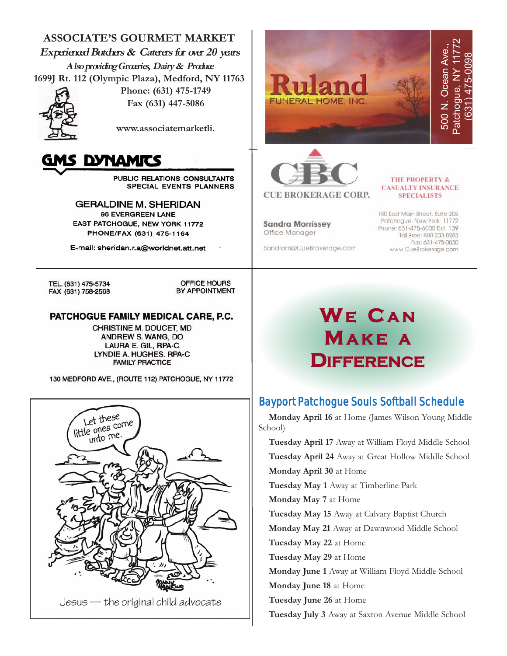**ASSOCIATE'S GOURMET MARKET Experienced Butchers & Caterers for over 20 years Also providing Groceries, Dairy & Produce 1699J Rt. 112 (Olympic Plaza), Medford, NY 11763**



**Phone: (631) 475-1749 Fax (631) 447-5086**

**www.associatemarketli.** 



PUBLIC RELATIONS CONSULTANTS **SPECIAL EVENTS PLANNERS** 

**GERALDINE M. SHERIDAN** 96 EVERGREEN LANE EAST PATCHOGUE, NEW YORK 11772 PHONE/FAX (631) 475-1164

E-mail: sheridan.r.a@worldnet.att.net

TEL. (631) 475-5734 FAX (631) 758-2568

OFFICE HOURS BY APPOINTMENT

#### PATCHOGUE FAMILY MEDICAL CARE, P.C.

CHRISTINE M. DOUCET, MD ANDREW S. WANG, DO LAURA E. GIL, RPA-C LYNDIE A. HUGHES, RPA-C **FAMILY PRACTICE** 

130 MEDFORD AVE., (ROUTE 112) PATCHOGUE, NY 11772



Patchogue, NY 11772 500 N. Ocean Ave., Ocean Ave. (631) 475-0098 Patchogue, NY **JNERAL HOME, INC** 500 N.



#### **THE PROPERTY & CASUALTY INSURANCE SPECIALISTS**

**Sandra Morrissey** Office Manager

Sandram@CueBrokerage.com

180 East Main Street, Suite 205 Patchogue, New York 11772 Phone: 631-475-6000 Ext. 139 Toll Free: 800-233-8283 Fax: 631-475-0030 www.CueBrokerage.com

# **WE C A N MA K E A DIFFERENCE**

# Bayport Patchogue Souls Softball Schedule

**Monday April 16** at Home (James Wilson Young Middle School)

**Tuesday April 17** Away at William Floyd Middle School **Tuesday April 24** Away at Great Hollow Middle School **Monday April 30** at Home **Tuesday May 1** Away at Timberline Park **Monday May 7** at Home **Tuesday May 15** Away at Calvary Baptist Church **Monday May 21** Away at Dawnwood Middle School **Tuesday May 22** at Home **Tuesday May 29** at Home **Monday June 1** Away at William Floyd Middle School **Monday June 18** at Home **Tuesday June 26** at Home **Tuesday July 3** Away at Saxton Avenue Middle School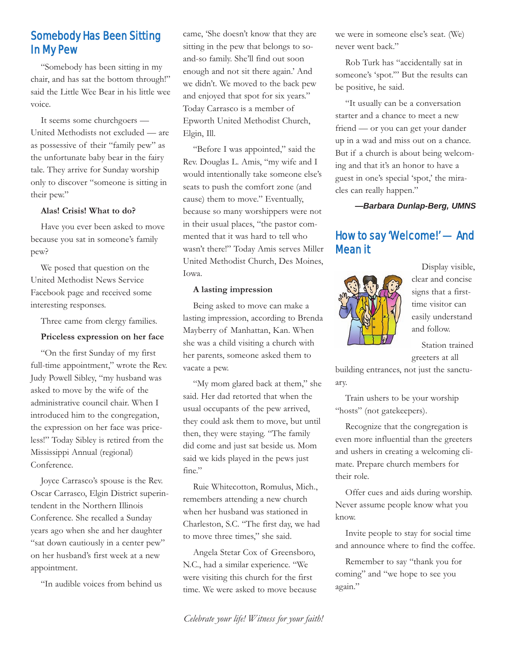# Somebody Has Been Sitting In My Pew

"Somebody has been sitting in my chair, and has sat the bottom through!" said the Little Wee Bear in his little wee voice.

It seems some churchgoers — United Methodists not excluded — are as possessive of their "family pew" as the unfortunate baby bear in the fairy tale. They arrive for Sunday worship only to discover "someone is sitting in their pew."

#### **Alas! Crisis! What to do?**

Have you ever been asked to move because you sat in someone's family pew?

We posed that question on the United Methodist News Service Facebook page and received some interesting responses.

Three came from clergy families.

#### **Priceless expression on her face**

"On the first Sunday of my first full-time appointment," wrote the Rev. Judy Powell Sibley, "my husband was asked to move by the wife of the administrative council chair. When I introduced him to the congregation, the expression on her face was priceless!" Today Sibley is retired from the Mississippi Annual (regional) Conference.

Joyce Carrasco's spouse is the Rev. Oscar Carrasco, Elgin District superintendent in the Northern Illinois Conference. She recalled a Sunday years ago when she and her daughter "sat down cautiously in a center pew" on her husband's first week at a new appointment.

"In audible voices from behind us

came, 'She doesn't know that they are sitting in the pew that belongs to soand-so family. She'll find out soon enough and not sit there again.' And we didn't. We moved to the back pew and enjoyed that spot for six years." Today Carrasco is a member of Epworth United Methodist Church, Elgin, Ill.

"Before I was appointed," said the Rev. Douglas L. Amis, "my wife and I would intentionally take someone else's seats to push the comfort zone (and cause) them to move." Eventually, because so many worshippers were not in their usual places, "the pastor commented that it was hard to tell who wasn't there!" Today Amis serves Miller United Methodist Church, Des Moines, Iowa.

#### **A lasting impression**

Being asked to move can make a lasting impression, according to Brenda Mayberry of Manhattan, Kan. When she was a child visiting a church with her parents, someone asked them to vacate a pew.

"My mom glared back at them," she said. Her dad retorted that when the usual occupants of the pew arrived, they could ask them to move, but until then, they were staying. "The family did come and just sat beside us. Mom said we kids played in the pews just fine."

Ruie Whitecotton, Romulus, Mich., remembers attending a new church when her husband was stationed in Charleston, S.C. "The first day, we had to move three times," she said.

Angela Stetar Cox of Greensboro, N.C., had a similar experience. "We were visiting this church for the first time. We were asked to move because we were in someone else's seat. (We) never went back."

Rob Turk has "accidentally sat in someone's 'spot.'" But the results can be positive, he said.

"It usually can be a conversation starter and a chance to meet a new friend — or you can get your dander up in a wad and miss out on a chance. But if a church is about being welcoming and that it's an honor to have a guest in one's special 'spot,' the miracles can really happen."

*—Barbara Dunlap-Berg, UMNS*

# How to say 'Welcome!' — And Mean it



Display visible, clear and concise signs that a firsttime visitor can easily understand and follow.

Station trained greeters at all

building entrances, not just the sanctuary.

Train ushers to be your worship "hosts" (not gatekeepers).

Recognize that the congregation is even more influential than the greeters and ushers in creating a welcoming climate. Prepare church members for their role.

Offer cues and aids during worship. Never assume people know what you know.

Invite people to stay for social time and announce where to find the coffee.

Remember to say "thank you for coming" and "we hope to see you again."